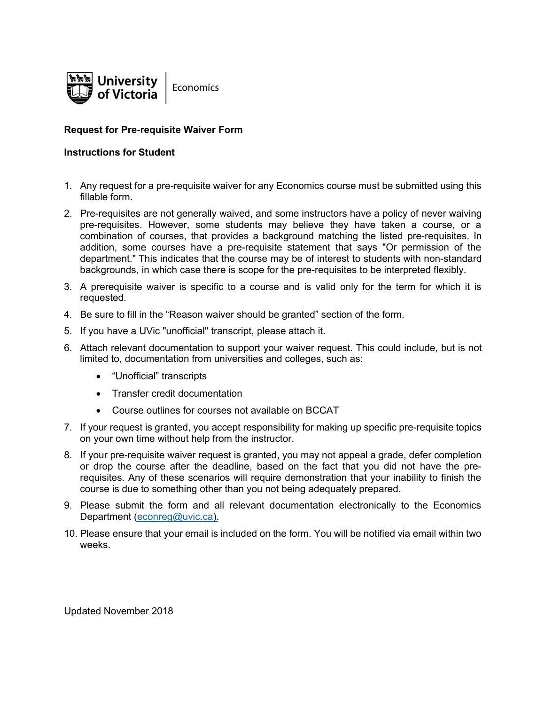

#### Request for Pre-requisite Waiver Form

#### Instructions for Student

- 1. Any request for a pre-requisite waiver for any Economics course must be submitted using this fillable form.
- 2. Pre-requisites are not generally waived, and some instructors have a policy of never waiving pre-requisites. However, some students may believe they have taken a course, or a combination of courses, that provides a background matching the listed pre-requisites. In addition, some courses have a pre-requisite statement that says "Or permission of the department." This indicates that the course may be of interest to students with non-standard backgrounds, in which case there is scope for the pre-requisites to be interpreted flexibly.
- 3. A prerequisite waiver is specific to a course and is valid only for the term for which it is requested.
- 4. Be sure to fill in the "Reason waiver should be granted" section of the form.
- 5. If you have a UVic "unofficial" transcript, please attach it.
- 6. Attach relevant documentation to support your waiver request. This could include, but is not limited to, documentation from universities and colleges, such as:
	- "Unofficial" transcripts
	- Transfer credit documentation
	- Course outlines for courses not available on BCCAT
- 7. If your request is granted, you accept responsibility for making up specific pre-requisite topics on your own time without help from the instructor.
- 8. If your pre-requisite waiver request is granted, you may not appeal a grade, defer completion or drop the course after the deadline, based on the fact that you did not have the prerequisites. Any of these scenarios will require demonstration that your inability to finish the course is due to something other than you not being adequately prepared.
- 9. Please submit the form and all relevant documentation electronically to the Economics Department (econreg@uvic.ca).
- 10. Please ensure t[hat your email is inc](mailto:econdept@uvic.ca)luded on the form. You will be notified via email within two weeks.

Updated November 2018